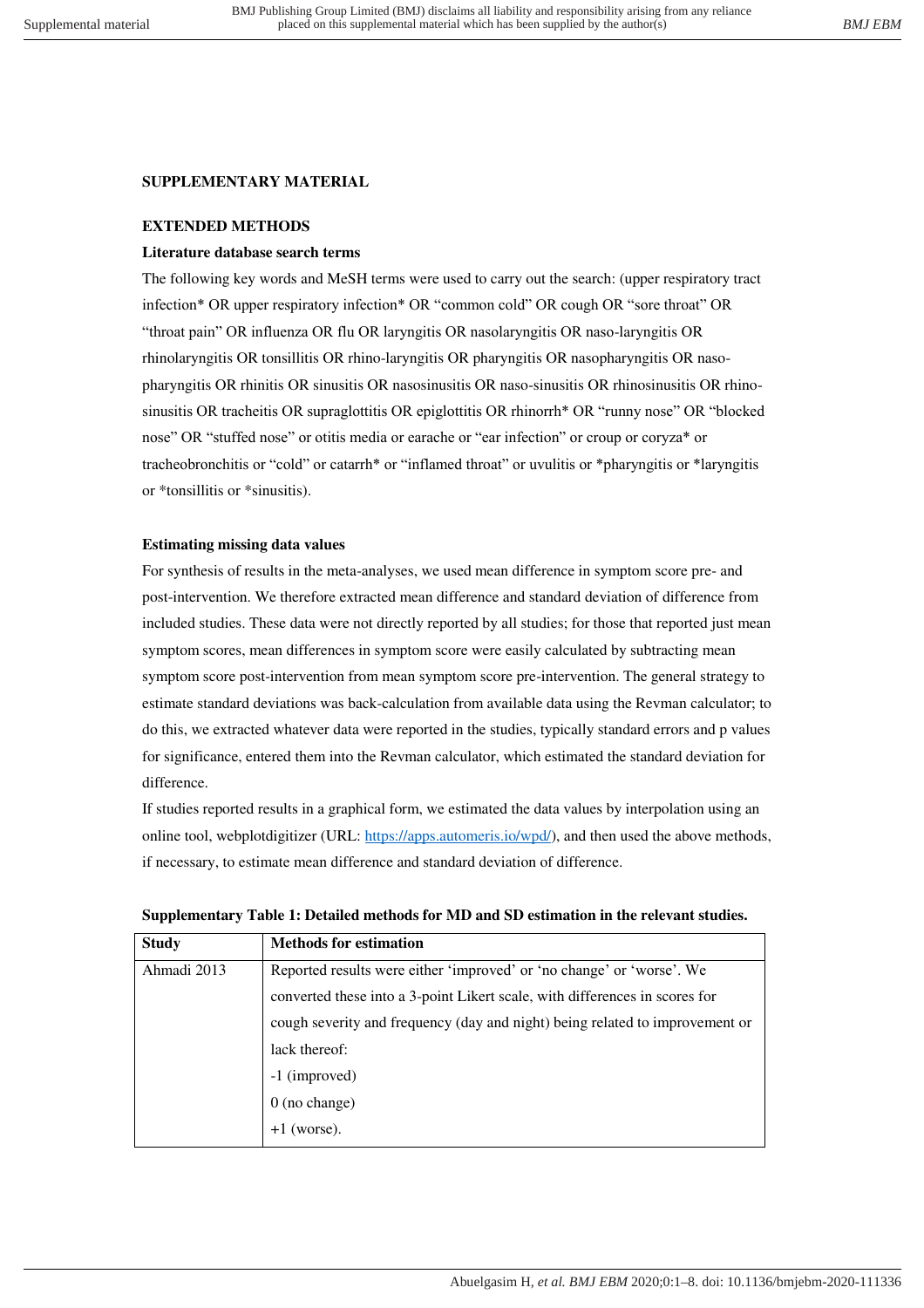# **SUPPLEMENTARY MATERIAL**

## **EXTENDED METHODS**

## **Literature database search terms**

The following key words and MeSH terms were used to carry out the search: (upper respiratory tract infection\* OR upper respiratory infection\* OR "common cold" OR cough OR "sore throat" OR "throat pain" OR influenza OR flu OR laryngitis OR nasolaryngitis OR naso-laryngitis OR rhinolaryngitis OR tonsillitis OR rhino-laryngitis OR pharyngitis OR nasopharyngitis OR nasopharyngitis OR rhinitis OR sinusitis OR nasosinusitis OR naso-sinusitis OR rhinosinusitis OR rhinosinusitis OR tracheitis OR supraglottitis OR epiglottitis OR rhinorrh\* OR "runny nose" OR "blocked nose" OR "stuffed nose" or otitis media or earache or "ear infection" or croup or coryza\* or tracheobronchitis or "cold" or catarrh\* or "inflamed throat" or uvulitis or \*pharyngitis or \*laryngitis or \*tonsillitis or \*sinusitis).

## **Estimating missing data values**

For synthesis of results in the meta-analyses, we used mean difference in symptom score pre- and post-intervention. We therefore extracted mean difference and standard deviation of difference from included studies. These data were not directly reported by all studies; for those that reported just mean symptom scores, mean differences in symptom score were easily calculated by subtracting mean symptom score post-intervention from mean symptom score pre-intervention. The general strategy to estimate standard deviations was back-calculation from available data using the Revman calculator; to do this, we extracted whatever data were reported in the studies, typically standard errors and p values for significance, entered them into the Revman calculator, which estimated the standard deviation for difference.

If studies reported results in a graphical form, we estimated the data values by interpolation using an online tool, webplotdigitizer (URL: [https://apps.automeris.io/wpd/\)](https://apps.automeris.io/wpd/), and then used the above methods, if necessary, to estimate mean difference and standard deviation of difference.

|  |  |  |  |  | Supplementary Table 1: Detailed methods for MD and SD estimation in the relevant studies. |
|--|--|--|--|--|-------------------------------------------------------------------------------------------|
|--|--|--|--|--|-------------------------------------------------------------------------------------------|

| <b>Study</b> | <b>Methods for estimation</b>                                                |  |
|--------------|------------------------------------------------------------------------------|--|
| Ahmadi 2013  | Reported results were either 'improved' or 'no change' or 'worse'. We        |  |
|              | converted these into a 3-point Likert scale, with differences in scores for  |  |
|              | cough severity and frequency (day and night) being related to improvement or |  |
|              | lack thereof:                                                                |  |
|              | -1 (improved)                                                                |  |
|              | 0 (no change)                                                                |  |
|              | (worse).                                                                     |  |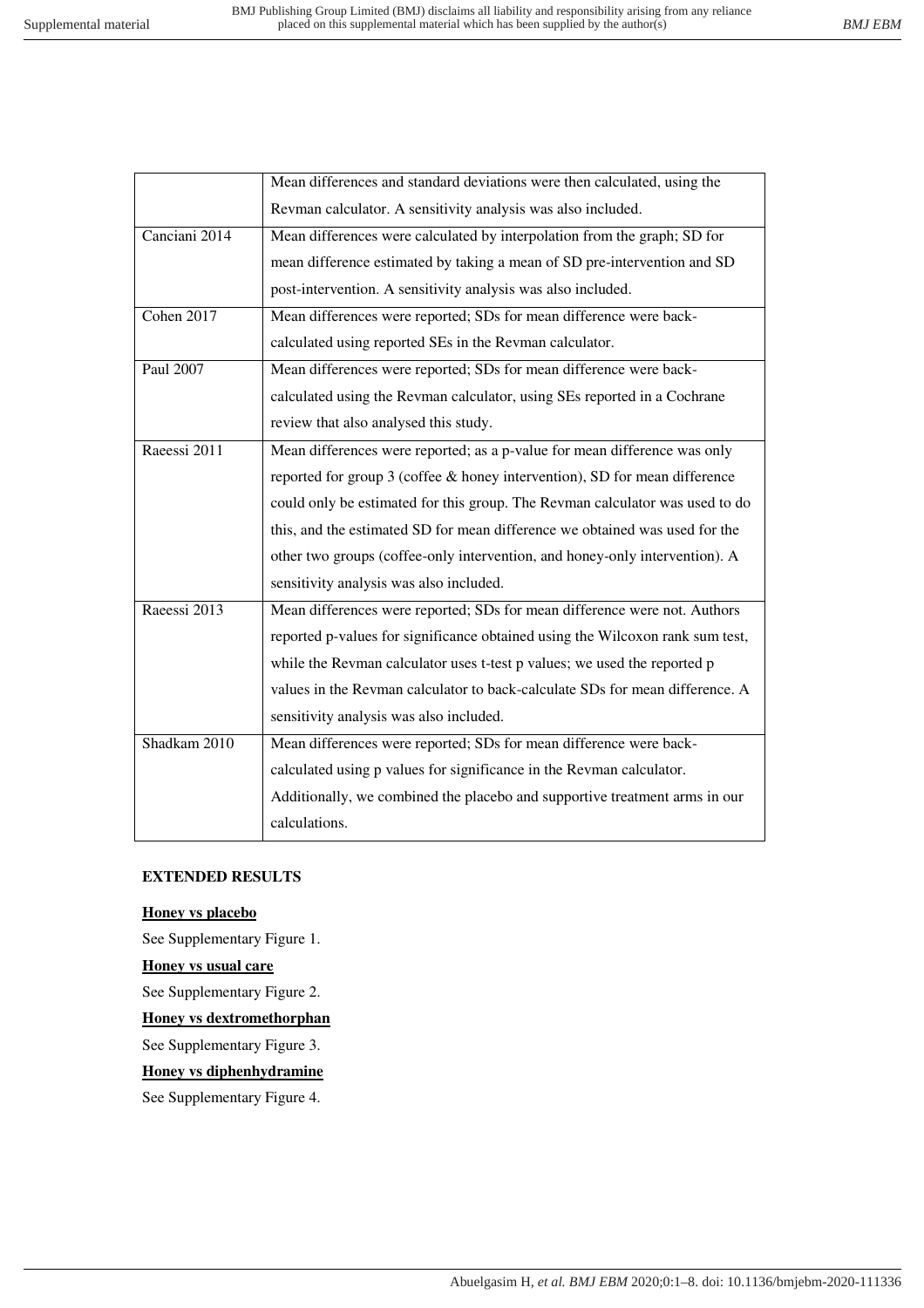|               | Mean differences and standard deviations were then calculated, using the      |
|---------------|-------------------------------------------------------------------------------|
|               | Revman calculator. A sensitivity analysis was also included.                  |
| Canciani 2014 | Mean differences were calculated by interpolation from the graph; SD for      |
|               | mean difference estimated by taking a mean of SD pre-intervention and SD      |
|               | post-intervention. A sensitivity analysis was also included.                  |
| Cohen 2017    | Mean differences were reported; SDs for mean difference were back-            |
|               | calculated using reported SEs in the Revman calculator.                       |
| Paul 2007     | Mean differences were reported; SDs for mean difference were back-            |
|               | calculated using the Revman calculator, using SEs reported in a Cochrane      |
|               | review that also analysed this study.                                         |
| Raeessi 2011  | Mean differences were reported; as a p-value for mean difference was only     |
|               | reported for group 3 (coffee & honey intervention), SD for mean difference    |
|               | could only be estimated for this group. The Revman calculator was used to do  |
|               | this, and the estimated SD for mean difference we obtained was used for the   |
|               | other two groups (coffee-only intervention, and honey-only intervention). A   |
|               | sensitivity analysis was also included.                                       |
| Raeessi 2013  | Mean differences were reported; SDs for mean difference were not. Authors     |
|               | reported p-values for significance obtained using the Wilcoxon rank sum test, |
|               | while the Revman calculator uses t-test p values; we used the reported p      |
|               | values in the Revman calculator to back-calculate SDs for mean difference. A  |
|               | sensitivity analysis was also included.                                       |
| Shadkam 2010  | Mean differences were reported; SDs for mean difference were back-            |
|               | calculated using p values for significance in the Revman calculator.          |
|               | Additionally, we combined the placebo and supportive treatment arms in our    |
|               | calculations.                                                                 |
|               |                                                                               |

#### **EXTENDED RESULTS**

#### **Honey vs placebo**

See Supplementary Figure 1.

## **Honey vs usual care**

See Supplementary Figure 2.

**Honey vs dextromethorphan** 

See Supplementary Figure 3.

# **Honey vs diphenhydramine**

See Supplementary Figure 4.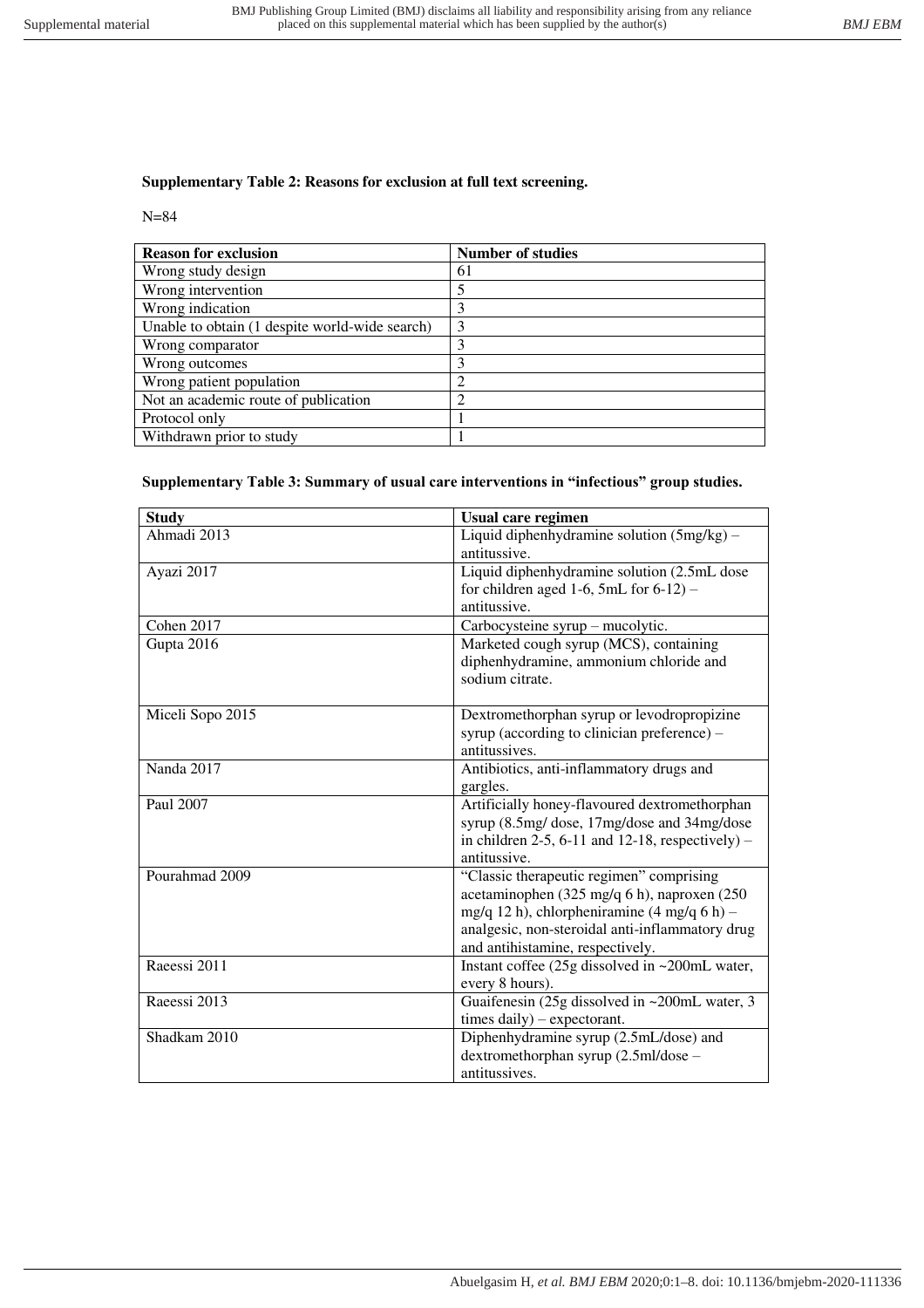# **Supplementary Table 2: Reasons for exclusion at full text screening.**

### N=84

| <b>Reason for exclusion</b>                    | <b>Number of studies</b> |
|------------------------------------------------|--------------------------|
| Wrong study design                             | 61                       |
| Wrong intervention                             | 5                        |
| Wrong indication                               | 3                        |
| Unable to obtain (1 despite world-wide search) | 3                        |
| Wrong comparator                               | 3                        |
| Wrong outcomes                                 | 3                        |
| Wrong patient population                       | 2                        |
| Not an academic route of publication           | 2                        |
| Protocol only                                  |                          |
| Withdrawn prior to study                       |                          |

#### **Supplementary Table 3: Summary of usual care interventions in "infectious" group studies.**

| <b>Study</b>     | <b>Usual care regimen</b>                                                      |
|------------------|--------------------------------------------------------------------------------|
| Ahmadi 2013      | Liquid diphenhydramine solution (5mg/kg) -                                     |
|                  | antitussive.                                                                   |
| Ayazi 2017       | Liquid diphenhydramine solution (2.5mL dose                                    |
|                  | for children aged 1-6, 5mL for $6-12$ ) –                                      |
|                  | antitussive.                                                                   |
| Cohen 2017       | Carbocysteine syrup – mucolytic.                                               |
| Gupta 2016       | Marketed cough syrup (MCS), containing                                         |
|                  | diphenhydramine, ammonium chloride and                                         |
|                  | sodium citrate.                                                                |
|                  |                                                                                |
| Miceli Sopo 2015 | Dextromethorphan syrup or levodropropizine                                     |
|                  | syrup (according to clinician preference) -                                    |
|                  | antitussives.                                                                  |
| Nanda 2017       | Antibiotics, anti-inflammatory drugs and                                       |
|                  | gargles.                                                                       |
| Paul 2007        | Artificially honey-flavoured dextromethorphan                                  |
|                  | syrup (8.5mg/ dose, 17mg/dose and 34mg/dose                                    |
|                  | in children $2-5$ , 6-11 and 12-18, respectively) –                            |
|                  | antitussive.                                                                   |
| Pourahmad 2009   | "Classic therapeutic regimen" comprising                                       |
|                  | acetaminophen (325 mg/q 6 h), naproxen (250                                    |
|                  | mg/q 12 h), chlorpheniramine $(4 \text{ mg/q } 6 \text{ h})$ –                 |
|                  | analgesic, non-steroidal anti-inflammatory drug                                |
| Raeessi 2011     | and antihistamine, respectively.                                               |
|                  | Instant coffee (25g dissolved in ~200mL water,                                 |
| Raeessi 2013     | every 8 hours).                                                                |
|                  | Guaifenesin (25g dissolved in ~200mL water, 3                                  |
| Shadkam 2010     | times daily) - expectorant.                                                    |
|                  | Diphenhydramine syrup (2.5mL/dose) and<br>dextromethorphan syrup (2.5ml/dose - |
|                  | antitussives.                                                                  |
|                  |                                                                                |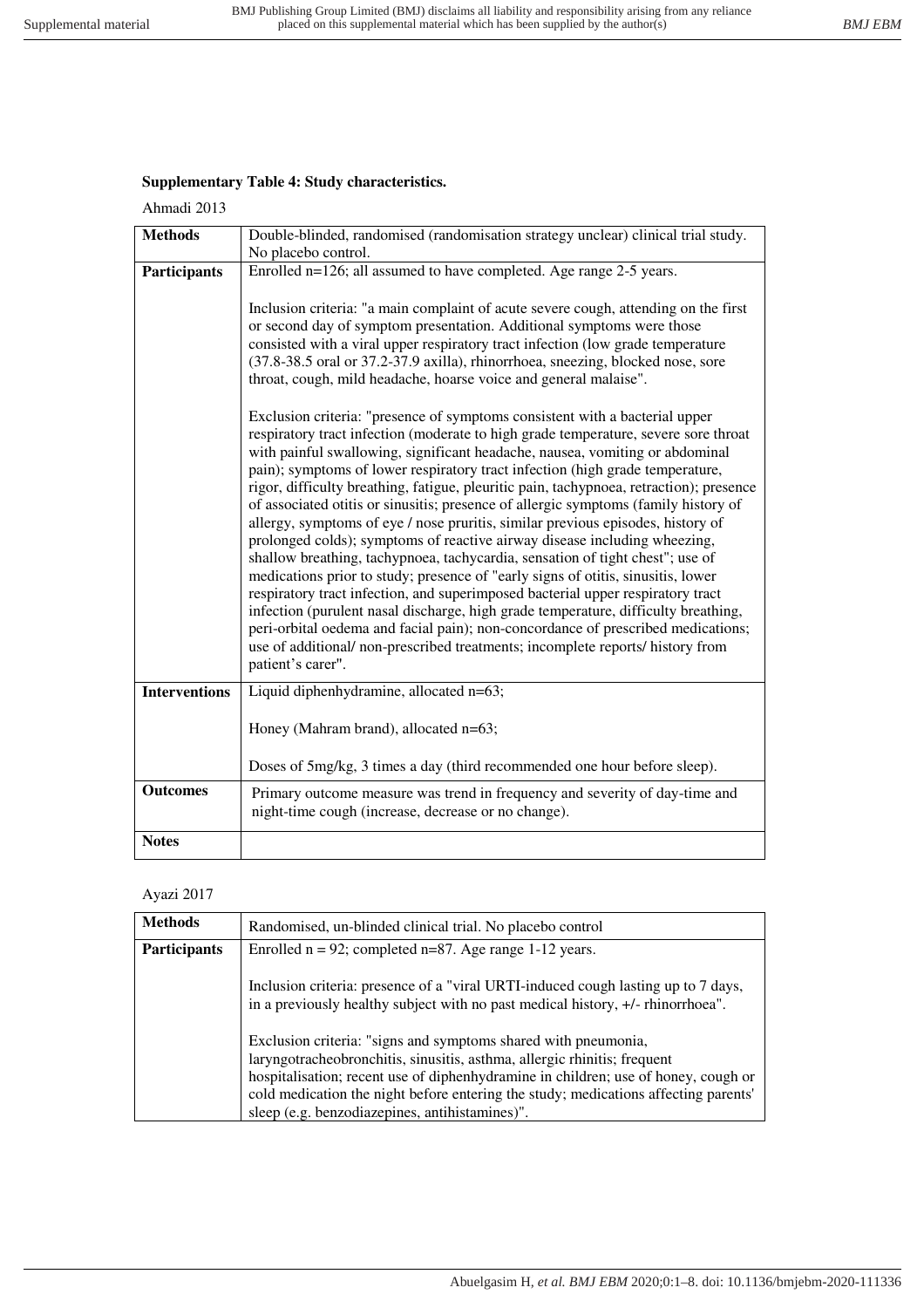# **Supplementary Table 4: Study characteristics.**

Ahmadi 2013

| <b>Methods</b>       | Double-blinded, randomised (randomisation strategy unclear) clinical trial study.<br>No placebo control.                                                                                                                                                                                                                                                                                                                                                                                                                                                                                                                                                                                                                                                                                                                                                                                                                                                                                                                                                                                                                                                                                                                       |
|----------------------|--------------------------------------------------------------------------------------------------------------------------------------------------------------------------------------------------------------------------------------------------------------------------------------------------------------------------------------------------------------------------------------------------------------------------------------------------------------------------------------------------------------------------------------------------------------------------------------------------------------------------------------------------------------------------------------------------------------------------------------------------------------------------------------------------------------------------------------------------------------------------------------------------------------------------------------------------------------------------------------------------------------------------------------------------------------------------------------------------------------------------------------------------------------------------------------------------------------------------------|
| <b>Participants</b>  | Enrolled n=126; all assumed to have completed. Age range 2-5 years.                                                                                                                                                                                                                                                                                                                                                                                                                                                                                                                                                                                                                                                                                                                                                                                                                                                                                                                                                                                                                                                                                                                                                            |
|                      | Inclusion criteria: "a main complaint of acute severe cough, attending on the first<br>or second day of symptom presentation. Additional symptoms were those<br>consisted with a viral upper respiratory tract infection (low grade temperature<br>(37.8-38.5 oral or 37.2-37.9 axilla), rhinorrhoea, sneezing, blocked nose, sore<br>throat, cough, mild headache, hoarse voice and general malaise".                                                                                                                                                                                                                                                                                                                                                                                                                                                                                                                                                                                                                                                                                                                                                                                                                         |
|                      | Exclusion criteria: "presence of symptoms consistent with a bacterial upper<br>respiratory tract infection (moderate to high grade temperature, severe sore throat<br>with painful swallowing, significant headache, nausea, vomiting or abdominal<br>pain); symptoms of lower respiratory tract infection (high grade temperature,<br>rigor, difficulty breathing, fatigue, pleuritic pain, tachypnoea, retraction); presence<br>of associated otitis or sinusitis; presence of allergic symptoms (family history of<br>allergy, symptoms of eye / nose pruritis, similar previous episodes, history of<br>prolonged colds); symptoms of reactive airway disease including wheezing,<br>shallow breathing, tachypnoea, tachycardia, sensation of tight chest"; use of<br>medications prior to study; presence of "early signs of otitis, sinusitis, lower<br>respiratory tract infection, and superimposed bacterial upper respiratory tract<br>infection (purulent nasal discharge, high grade temperature, difficulty breathing,<br>peri-orbital oedema and facial pain); non-concordance of prescribed medications;<br>use of additional/ non-prescribed treatments; incomplete reports/ history from<br>patient's carer". |
| <b>Interventions</b> | Liquid diphenhydramine, allocated n=63;                                                                                                                                                                                                                                                                                                                                                                                                                                                                                                                                                                                                                                                                                                                                                                                                                                                                                                                                                                                                                                                                                                                                                                                        |
|                      | Honey (Mahram brand), allocated n=63;                                                                                                                                                                                                                                                                                                                                                                                                                                                                                                                                                                                                                                                                                                                                                                                                                                                                                                                                                                                                                                                                                                                                                                                          |
|                      | Doses of 5mg/kg, 3 times a day (third recommended one hour before sleep).                                                                                                                                                                                                                                                                                                                                                                                                                                                                                                                                                                                                                                                                                                                                                                                                                                                                                                                                                                                                                                                                                                                                                      |
| <b>Outcomes</b>      | Primary outcome measure was trend in frequency and severity of day-time and<br>night-time cough (increase, decrease or no change).                                                                                                                                                                                                                                                                                                                                                                                                                                                                                                                                                                                                                                                                                                                                                                                                                                                                                                                                                                                                                                                                                             |
| <b>Notes</b>         |                                                                                                                                                                                                                                                                                                                                                                                                                                                                                                                                                                                                                                                                                                                                                                                                                                                                                                                                                                                                                                                                                                                                                                                                                                |

#### Ayazi 2017

| <b>Methods</b>      | Randomised, un-blinded clinical trial. No placebo control                                                                                                                                                                                                                                                                                                                 |
|---------------------|---------------------------------------------------------------------------------------------------------------------------------------------------------------------------------------------------------------------------------------------------------------------------------------------------------------------------------------------------------------------------|
| <b>Participants</b> | Enrolled $n = 92$ ; completed $n = 87$ . Age range 1-12 years.                                                                                                                                                                                                                                                                                                            |
|                     | Inclusion criteria: presence of a "viral URTI-induced cough lasting up to 7 days,<br>in a previously healthy subject with no past medical history, +/- rhinorrhoea".                                                                                                                                                                                                      |
|                     | Exclusion criteria: "signs and symptoms shared with pneumonia,<br>laryngotracheobronchitis, sinusitis, asthma, allergic rhinitis; frequent<br>hospitalisation; recent use of diphenhydramine in children; use of honey, cough or<br>cold medication the night before entering the study; medications affecting parents'<br>sleep (e.g. benzodiazepines, antihistamines)". |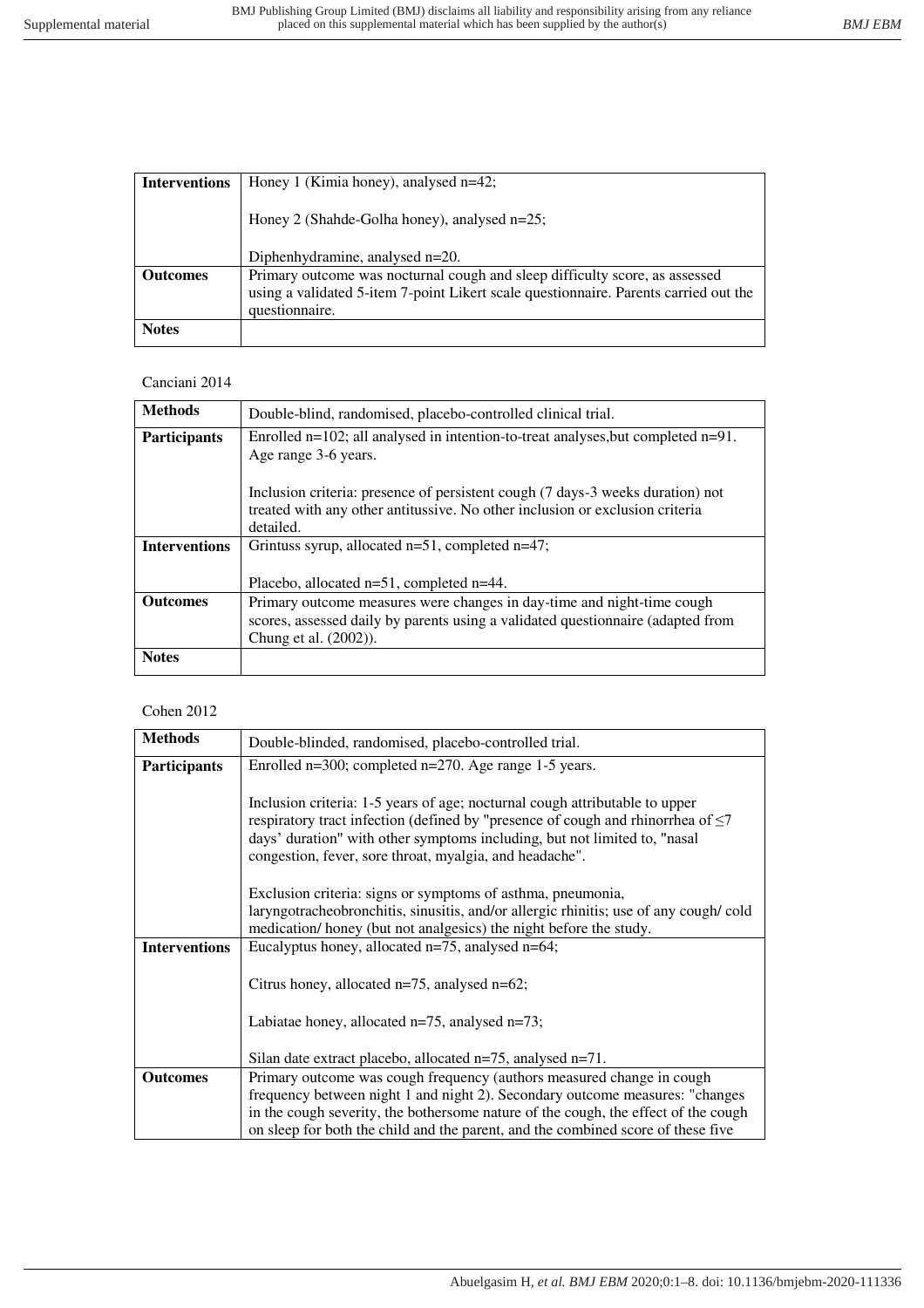| <b>Interventions</b> | Honey 1 (Kimia honey), analysed $n=42$ ;                                                                                                                                              |  |
|----------------------|---------------------------------------------------------------------------------------------------------------------------------------------------------------------------------------|--|
|                      | Honey 2 (Shahde-Golha honey), analysed n=25;                                                                                                                                          |  |
|                      | Diphenhydramine, analysed n=20.                                                                                                                                                       |  |
| <b>Outcomes</b>      | Primary outcome was nocturnal cough and sleep difficulty score, as assessed<br>using a validated 5-item 7-point Likert scale questionnaire. Parents carried out the<br>questionnaire. |  |
| <b>Notes</b>         |                                                                                                                                                                                       |  |

#### Canciani 2014

| <b>Methods</b>       | Double-blind, randomised, placebo-controlled clinical trial.                                                                                                                |
|----------------------|-----------------------------------------------------------------------------------------------------------------------------------------------------------------------------|
| <b>Participants</b>  | Enrolled $n=102$ ; all analysed in intention-to-treat analyses, but completed $n=91$ .<br>Age range 3-6 years.                                                              |
|                      | Inclusion criteria: presence of persistent cough (7 days-3 weeks duration) not<br>treated with any other antitussive. No other inclusion or exclusion criteria<br>detailed. |
| <b>Interventions</b> | Grintuss syrup, allocated $n=51$ , completed $n=47$ ;<br>Placebo, allocated $n=51$ , completed $n=44$ .                                                                     |
|                      |                                                                                                                                                                             |
| <b>Outcomes</b>      | Primary outcome measures were changes in day-time and night-time cough                                                                                                      |
|                      | scores, assessed daily by parents using a validated questionnaire (adapted from                                                                                             |
|                      | Chung et al. (2002)).                                                                                                                                                       |
| <b>Notes</b>         |                                                                                                                                                                             |

### Cohen 2012

| <b>Methods</b>       | Double-blinded, randomised, placebo-controlled trial.                                                                                                                                                                                                                                                        |  |
|----------------------|--------------------------------------------------------------------------------------------------------------------------------------------------------------------------------------------------------------------------------------------------------------------------------------------------------------|--|
| <b>Participants</b>  | Enrolled n=300; completed n=270. Age range 1-5 years.                                                                                                                                                                                                                                                        |  |
|                      | Inclusion criteria: 1-5 years of age; nocturnal cough attributable to upper<br>respiratory tract infection (defined by "presence of cough and rhinorrhea of $\leq$ 7<br>days' duration" with other symptoms including, but not limited to, "nasal<br>congestion, fever, sore throat, myalgia, and headache". |  |
|                      | Exclusion criteria: signs or symptoms of asthma, pneumonia,                                                                                                                                                                                                                                                  |  |
|                      | laryngotracheobronchitis, sinusitis, and/or allergic rhinitis; use of any cough/cold                                                                                                                                                                                                                         |  |
|                      | medication/ honey (but not analgesics) the night before the study.                                                                                                                                                                                                                                           |  |
| <b>Interventions</b> | Eucalyptus honey, allocated $n=75$ , analysed $n=64$ ;                                                                                                                                                                                                                                                       |  |
|                      | Citrus honey, allocated $n=75$ , analysed $n=62$ ;<br>Labiatae honey, allocated $n=75$ , analysed $n=73$ ;                                                                                                                                                                                                   |  |
|                      | Silan date extract placebo, allocated $n=75$ , analysed $n=71$ .                                                                                                                                                                                                                                             |  |
| <b>Outcomes</b>      | Primary outcome was cough frequency (authors measured change in cough                                                                                                                                                                                                                                        |  |
|                      | frequency between night 1 and night 2). Secondary outcome measures: "changes                                                                                                                                                                                                                                 |  |
|                      | in the cough severity, the bothersome nature of the cough, the effect of the cough                                                                                                                                                                                                                           |  |
|                      | on sleep for both the child and the parent, and the combined score of these five                                                                                                                                                                                                                             |  |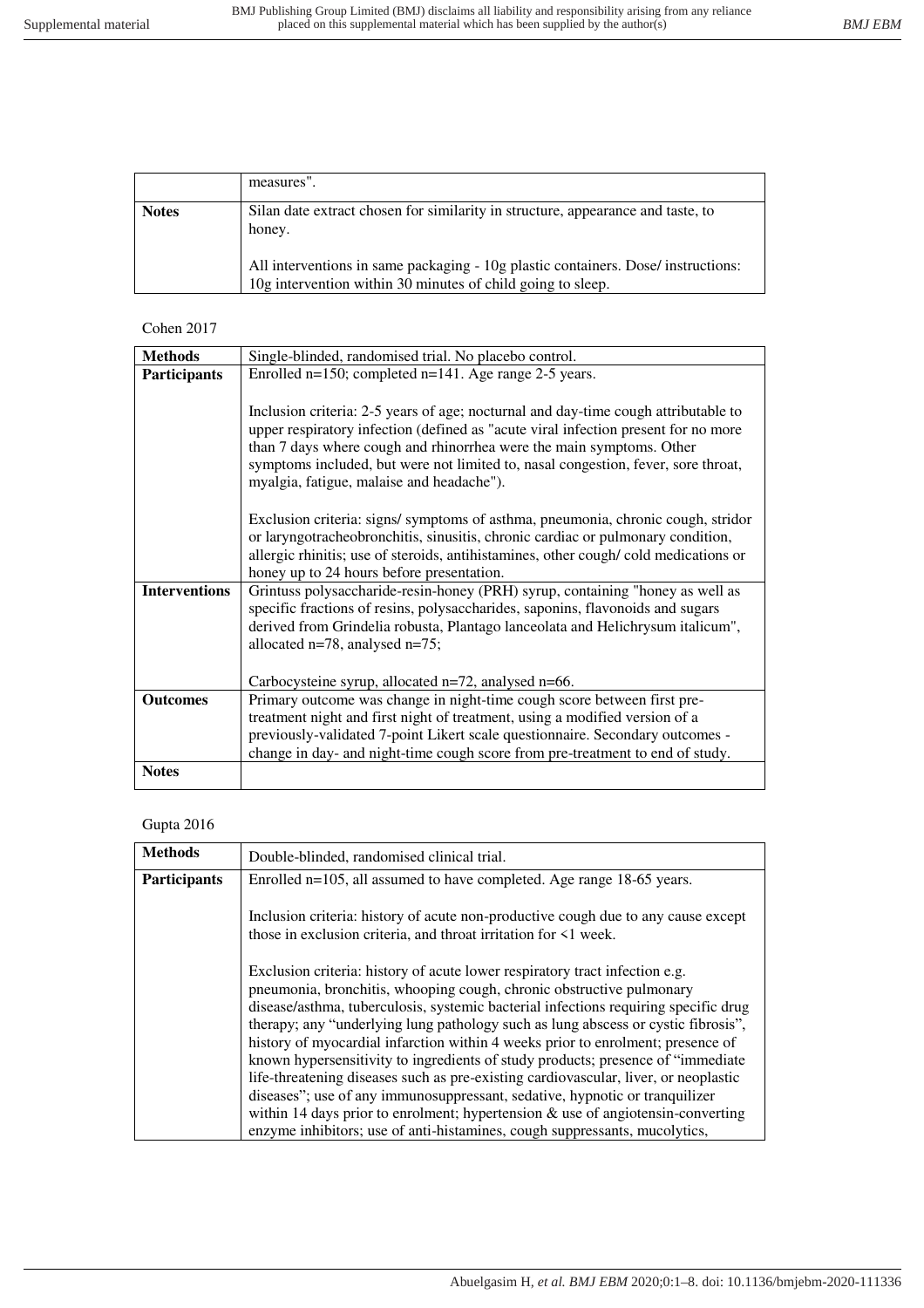|              | measures".                                                                                                                                       |
|--------------|--------------------------------------------------------------------------------------------------------------------------------------------------|
| <b>Notes</b> | Silan date extract chosen for similarity in structure, appearance and taste, to<br>honey.                                                        |
|              | All interventions in same packaging - 10g plastic containers. Dose/ instructions:<br>10g intervention within 30 minutes of child going to sleep. |

### Cohen 2017

| <b>Methods</b>       | Single-blinded, randomised trial. No placebo control.                                                                                                                                                                                                                                                                                                                              |
|----------------------|------------------------------------------------------------------------------------------------------------------------------------------------------------------------------------------------------------------------------------------------------------------------------------------------------------------------------------------------------------------------------------|
| <b>Participants</b>  | Enrolled $n=150$ ; completed $n=141$ . Age range 2-5 years.                                                                                                                                                                                                                                                                                                                        |
|                      | Inclusion criteria: 2-5 years of age; nocturnal and day-time cough attributable to<br>upper respiratory infection (defined as "acute viral infection present for no more<br>than 7 days where cough and rhinorrhea were the main symptoms. Other<br>symptoms included, but were not limited to, nasal congestion, fever, sore throat,<br>myalgia, fatigue, malaise and headache"). |
|                      | Exclusion criteria: signs/symptoms of asthma, pneumonia, chronic cough, stridor<br>or laryngotracheobronchitis, sinusitis, chronic cardiac or pulmonary condition,<br>allergic rhinitis; use of steroids, antihistamines, other cough/cold medications or<br>honey up to 24 hours before presentation.                                                                             |
| <b>Interventions</b> | Grintuss polysaccharide-resin-honey (PRH) syrup, containing "honey as well as<br>specific fractions of resins, polysaccharides, saponins, flavonoids and sugars<br>derived from Grindelia robusta, Plantago lanceolata and Helichrysum italicum",<br>allocated n=78, analysed n=75;<br>Carbocysteine syrup, allocated n=72, analysed n=66.                                         |
| <b>Outcomes</b>      | Primary outcome was change in night-time cough score between first pre-                                                                                                                                                                                                                                                                                                            |
|                      | treatment night and first night of treatment, using a modified version of a                                                                                                                                                                                                                                                                                                        |
|                      | previously-validated 7-point Likert scale questionnaire. Secondary outcomes -                                                                                                                                                                                                                                                                                                      |
|                      | change in day- and night-time cough score from pre-treatment to end of study.                                                                                                                                                                                                                                                                                                      |
| <b>Notes</b>         |                                                                                                                                                                                                                                                                                                                                                                                    |

## Gupta 2016

| <b>Methods</b>      | Double-blinded, randomised clinical trial.                                                                                                                                                                                                                                                                                                                                                                                                                                                                                                                                                                                                                                   |
|---------------------|------------------------------------------------------------------------------------------------------------------------------------------------------------------------------------------------------------------------------------------------------------------------------------------------------------------------------------------------------------------------------------------------------------------------------------------------------------------------------------------------------------------------------------------------------------------------------------------------------------------------------------------------------------------------------|
| <b>Participants</b> | Enrolled n=105, all assumed to have completed. Age range 18-65 years.                                                                                                                                                                                                                                                                                                                                                                                                                                                                                                                                                                                                        |
|                     | Inclusion criteria: history of acute non-productive cough due to any cause except<br>those in exclusion criteria, and throat irritation for $\leq 1$ week.                                                                                                                                                                                                                                                                                                                                                                                                                                                                                                                   |
|                     | Exclusion criteria: history of acute lower respiratory tract infection e.g.<br>pneumonia, bronchitis, whooping cough, chronic obstructive pulmonary<br>disease/asthma, tuberculosis, systemic bacterial infections requiring specific drug<br>therapy; any "underlying lung pathology such as lung abscess or cystic fibrosis",<br>history of myocardial infarction within 4 weeks prior to enrolment; presence of<br>known hypersensitivity to ingredients of study products; presence of "immediate"<br>life-threatening diseases such as pre-existing cardiovascular, liver, or neoplastic<br>diseases"; use of any immunosuppressant, sedative, hypnotic or tranquilizer |
|                     | within 14 days prior to enrolment; hypertension $\&$ use of angiotensin-converting<br>enzyme inhibitors; use of anti-histamines, cough suppressants, mucolytics,                                                                                                                                                                                                                                                                                                                                                                                                                                                                                                             |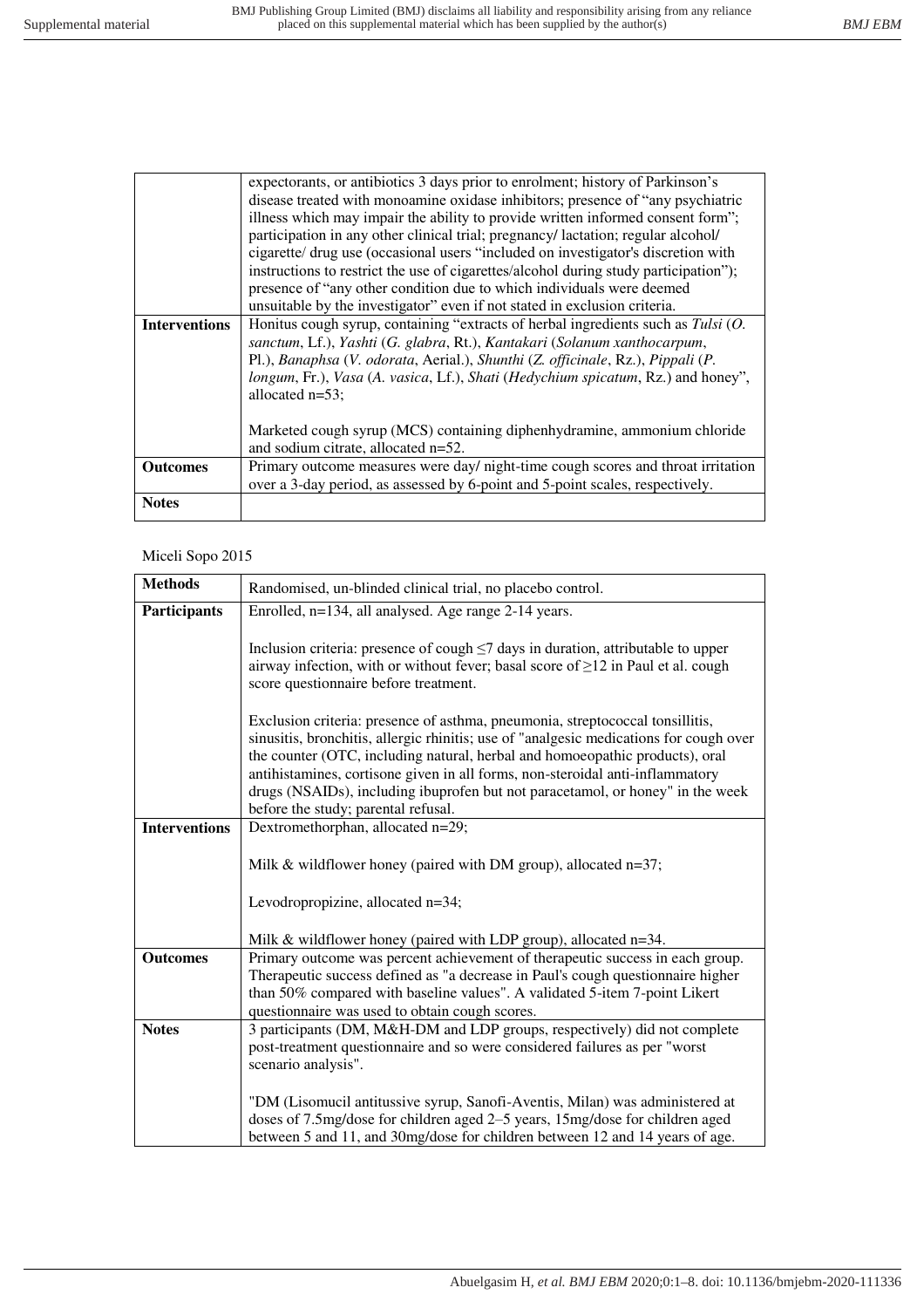|                      | expectorants, or antibiotics 3 days prior to enrolment; history of Parkinson's       |
|----------------------|--------------------------------------------------------------------------------------|
|                      | disease treated with monoamine oxidase inhibitors; presence of "any psychiatric      |
|                      | illness which may impair the ability to provide written informed consent form";      |
|                      | participation in any other clinical trial; pregnancy/ lactation; regular alcohol/    |
|                      | cigarette/ drug use (occasional users "included on investigator's discretion with    |
|                      | instructions to restrict the use of cigarettes/alcohol during study participation"); |
|                      | presence of "any other condition due to which individuals were deemed                |
|                      | unsuitable by the investigator" even if not stated in exclusion criteria.            |
| <b>Interventions</b> | Honitus cough syrup, containing "extracts of herbal ingredients such as $Tulsi (O.$  |
|                      | sanctum, Lf.), Yashti (G. glabra, Rt.), Kantakari (Solanum xanthocarpum,             |
|                      | Pl.), Banaphsa (V. odorata, Aerial.), Shunthi (Z. officinale, Rz.), Pippali (P.      |
|                      | longum, Fr.), Vasa (A. vasica, Lf.), Shati (Hedychium spicatum, Rz.) and honey",     |
|                      | allocated $n=53$ ;                                                                   |
|                      |                                                                                      |
|                      | Marketed cough syrup (MCS) containing diphenhydramine, ammonium chloride             |
|                      | and sodium citrate, allocated n=52.                                                  |
| <b>Outcomes</b>      | Primary outcome measures were day/ night-time cough scores and throat irritation     |
|                      | over a 3-day period, as assessed by 6-point and 5-point scales, respectively.        |
| <b>Notes</b>         |                                                                                      |
|                      |                                                                                      |

### Miceli Sopo 2015

| <b>Methods</b>       | Randomised, un-blinded clinical trial, no placebo control.                                                                                                                                                                                                                                                                                                                                                                                                        |
|----------------------|-------------------------------------------------------------------------------------------------------------------------------------------------------------------------------------------------------------------------------------------------------------------------------------------------------------------------------------------------------------------------------------------------------------------------------------------------------------------|
| Participants         | Enrolled, n=134, all analysed. Age range 2-14 years.                                                                                                                                                                                                                                                                                                                                                                                                              |
|                      | Inclusion criteria: presence of cough $\leq$ 7 days in duration, attributable to upper<br>airway infection, with or without fever; basal score of $\geq$ 12 in Paul et al. cough<br>score questionnaire before treatment.                                                                                                                                                                                                                                         |
|                      | Exclusion criteria: presence of asthma, pneumonia, streptococcal tonsillitis,<br>sinusitis, bronchitis, allergic rhinitis; use of "analgesic medications for cough over<br>the counter (OTC, including natural, herbal and homoeopathic products), oral<br>antihistamines, cortisone given in all forms, non-steroidal anti-inflammatory<br>drugs (NSAIDs), including ibuprofen but not paracetamol, or honey" in the week<br>before the study; parental refusal. |
| <b>Interventions</b> | Dextromethorphan, allocated n=29;                                                                                                                                                                                                                                                                                                                                                                                                                                 |
|                      | Milk & wildflower honey (paired with DM group), allocated $n=37$ ;                                                                                                                                                                                                                                                                                                                                                                                                |
|                      | Levodropropizine, allocated n=34;                                                                                                                                                                                                                                                                                                                                                                                                                                 |
|                      | Milk & wildflower honey (paired with LDP group), allocated n=34.                                                                                                                                                                                                                                                                                                                                                                                                  |
| <b>Outcomes</b>      | Primary outcome was percent achievement of therapeutic success in each group.<br>Therapeutic success defined as "a decrease in Paul's cough questionnaire higher<br>than 50% compared with baseline values". A validated 5-item 7-point Likert<br>questionnaire was used to obtain cough scores.                                                                                                                                                                  |
| <b>Notes</b>         | 3 participants (DM, M&H-DM and LDP groups, respectively) did not complete<br>post-treatment questionnaire and so were considered failures as per "worst<br>scenario analysis".                                                                                                                                                                                                                                                                                    |
|                      | "DM (Lisomucil antitussive syrup, Sanofi-Aventis, Milan) was administered at<br>doses of 7.5mg/dose for children aged 2–5 years, 15mg/dose for children aged<br>between 5 and 11, and 30mg/dose for children between 12 and 14 years of age.                                                                                                                                                                                                                      |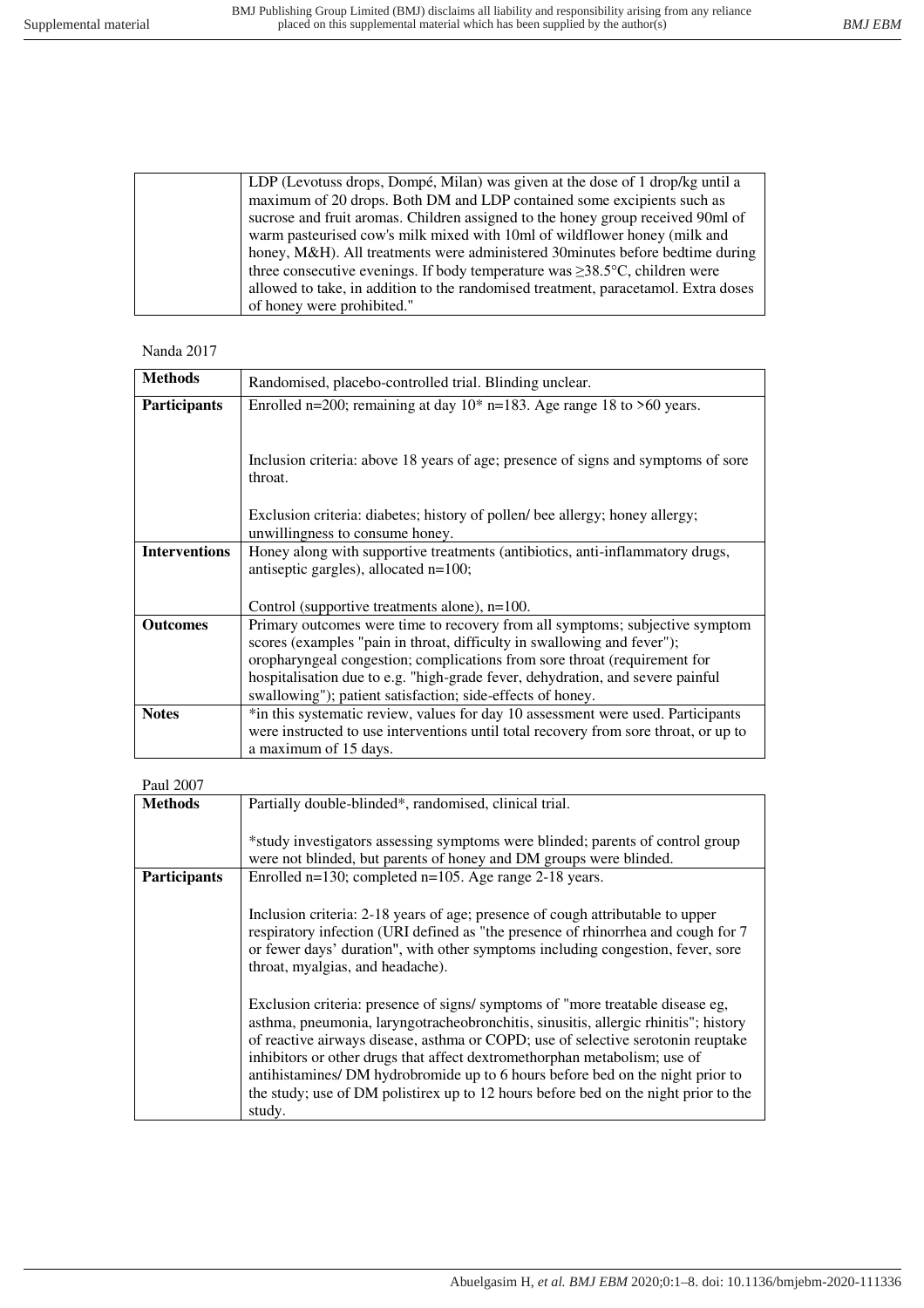| LDP (Levotuss drops, Dompé, Milan) was given at the dose of 1 drop/kg until a              |
|--------------------------------------------------------------------------------------------|
| maximum of 20 drops. Both DM and LDP contained some excipients such as                     |
| sucrose and fruit aromas. Children assigned to the honey group received 90ml of            |
| warm pasteurised cow's milk mixed with 10ml of wildflower honey (milk and                  |
| honey, M&H). All treatments were administered 30 minutes before bedtime during             |
| three consecutive evenings. If body temperature was $\geq$ 38.5 $\degree$ C, children were |
| allowed to take, in addition to the randomised treatment, paracetamol. Extra doses         |
| of honey were prohibited."                                                                 |

Nanda 2017

| <b>Methods</b>       | Randomised, placebo-controlled trial. Blinding unclear.                                                                                                                                                                                                                                                                                                                              |
|----------------------|--------------------------------------------------------------------------------------------------------------------------------------------------------------------------------------------------------------------------------------------------------------------------------------------------------------------------------------------------------------------------------------|
| <b>Participants</b>  | Enrolled n=200; remaining at day $10^*$ n=183. Age range 18 to >60 years.                                                                                                                                                                                                                                                                                                            |
|                      | Inclusion criteria: above 18 years of age; presence of signs and symptoms of sore<br>throat.                                                                                                                                                                                                                                                                                         |
|                      | Exclusion criteria: diabetes; history of pollen/ bee allergy; honey allergy;<br>unwillingness to consume honey.                                                                                                                                                                                                                                                                      |
| <b>Interventions</b> | Honey along with supportive treatments (antibiotics, anti-inflammatory drugs,<br>antiseptic gargles), allocated n=100;<br>Control (supportive treatments alone), $n=100$ .                                                                                                                                                                                                           |
| <b>Outcomes</b>      | Primary outcomes were time to recovery from all symptoms; subjective symptom<br>scores (examples "pain in throat, difficulty in swallowing and fever");<br>oropharyngeal congestion; complications from sore throat (requirement for<br>hospitalisation due to e.g. "high-grade fever, dehydration, and severe painful<br>swallowing"); patient satisfaction; side-effects of honey. |
| <b>Notes</b>         | *in this systematic review, values for day 10 assessment were used. Participants<br>were instructed to use interventions until total recovery from sore throat, or up to<br>a maximum of 15 days.                                                                                                                                                                                    |

| Paul 2007           |                                                                                     |
|---------------------|-------------------------------------------------------------------------------------|
| <b>Methods</b>      | Partially double-blinded*, randomised, clinical trial.                              |
|                     |                                                                                     |
|                     | *study investigators assessing symptoms were blinded; parents of control group      |
|                     | were not blinded, but parents of honey and DM groups were blinded.                  |
| <b>Participants</b> | Enrolled $n=130$ ; completed $n=105$ . Age range 2-18 years.                        |
|                     |                                                                                     |
|                     | Inclusion criteria: 2-18 years of age; presence of cough attributable to upper      |
|                     | respiratory infection (URI defined as "the presence of rhinorrhea and cough for 7   |
|                     | or fewer days' duration", with other symptoms including congestion, fever, sore     |
|                     | throat, myalgias, and headache).                                                    |
|                     |                                                                                     |
|                     | Exclusion criteria: presence of signs/symptoms of "more treatable disease eg,       |
|                     | asthma, pneumonia, laryngotracheobronchitis, sinusitis, allergic rhinitis"; history |
|                     | of reactive airways disease, asthma or COPD; use of selective serotonin reuptake    |
|                     | inhibitors or other drugs that affect dextromethorphan metabolism; use of           |
|                     | antihistamines/ DM hydrobromide up to 6 hours before bed on the night prior to      |
|                     | the study; use of DM polistirex up to 12 hours before bed on the night prior to the |
|                     |                                                                                     |
|                     | study.                                                                              |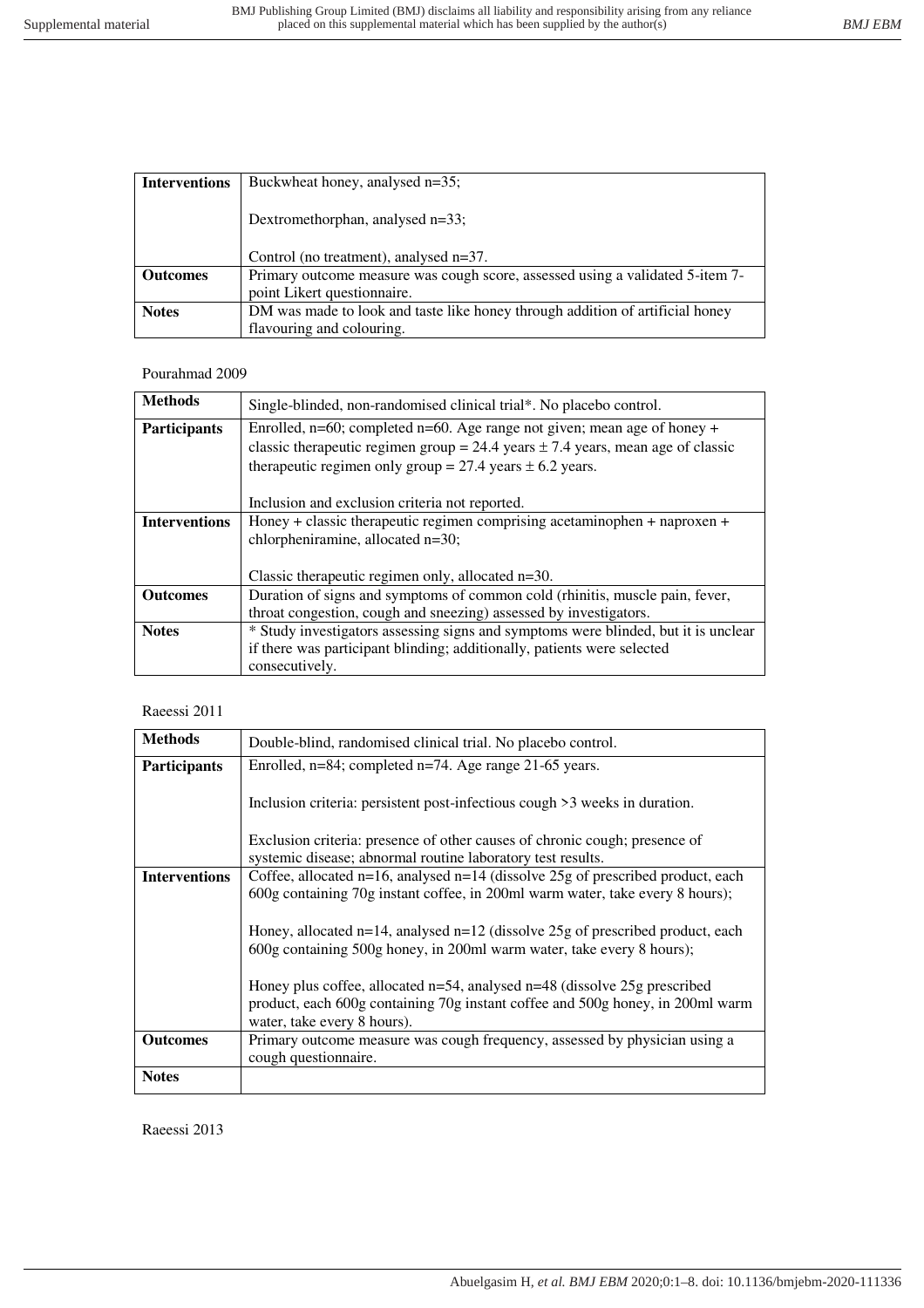| <b>Interventions</b> | Buckwheat honey, analysed n=35;                                               |
|----------------------|-------------------------------------------------------------------------------|
|                      | Dextromethorphan, analysed n=33;                                              |
|                      | Control (no treatment), analysed n=37.                                        |
| <b>Outcomes</b>      | Primary outcome measure was cough score, assessed using a validated 5-item 7- |
|                      | point Likert questionnaire.                                                   |
| <b>Notes</b>         | DM was made to look and taste like honey through addition of artificial honey |
|                      | flavouring and colouring.                                                     |

# Pourahmad 2009

| <b>Methods</b>       | Single-blinded, non-randomised clinical trial*. No placebo control.                 |
|----------------------|-------------------------------------------------------------------------------------|
| <b>Participants</b>  | Enrolled, $n=60$ ; completed $n=60$ . Age range not given; mean age of honey +      |
|                      | classic therapeutic regimen group = 24.4 years $\pm$ 7.4 years, mean age of classic |
|                      | therapeutic regimen only group = 27.4 years $\pm$ 6.2 years.                        |
|                      |                                                                                     |
|                      | Inclusion and exclusion criteria not reported.                                      |
| <b>Interventions</b> | Honey + classic therapeutic regimen comprising acetaminophen + naproxen +           |
|                      | chlorpheniramine, allocated n=30;                                                   |
|                      |                                                                                     |
|                      | Classic therapeutic regimen only, allocated n=30.                                   |
| <b>Outcomes</b>      | Duration of signs and symptoms of common cold (rhinitis, muscle pain, fever,        |
|                      | throat congestion, cough and sneezing) assessed by investigators.                   |
| <b>Notes</b>         | * Study investigators assessing signs and symptoms were blinded, but it is unclear  |
|                      | if there was participant blinding; additionally, patients were selected             |
|                      | consecutively.                                                                      |

# Raeessi 2011

| <b>Methods</b>       | Double-blind, randomised clinical trial. No placebo control.                         |
|----------------------|--------------------------------------------------------------------------------------|
| <b>Participants</b>  | Enrolled, $n=84$ ; completed $n=74$ . Age range 21-65 years.                         |
|                      | Inclusion criteria: persistent post-infectious cough >3 weeks in duration.           |
|                      | Exclusion criteria: presence of other causes of chronic cough; presence of           |
|                      | systemic disease; abnormal routine laboratory test results.                          |
| <b>Interventions</b> | Coffee, allocated $n=16$ , analysed $n=14$ (dissolve 25g of prescribed product, each |
|                      | 600g containing 70g instant coffee, in 200ml warm water, take every 8 hours);        |
|                      |                                                                                      |
|                      | Honey, allocated $n=14$ , analysed $n=12$ (dissolve 25g of prescribed product, each  |
|                      | 600g containing 500g honey, in 200ml warm water, take every 8 hours);                |
|                      |                                                                                      |
|                      | Honey plus coffee, allocated $n=54$ , analysed $n=48$ (dissolve 25g prescribed       |
|                      | product, each 600g containing 70g instant coffee and 500g honey, in 200ml warm       |
|                      | water, take every 8 hours).                                                          |
| <b>Outcomes</b>      | Primary outcome measure was cough frequency, assessed by physician using a           |
|                      | cough questionnaire.                                                                 |
| <b>Notes</b>         |                                                                                      |

Raeessi 2013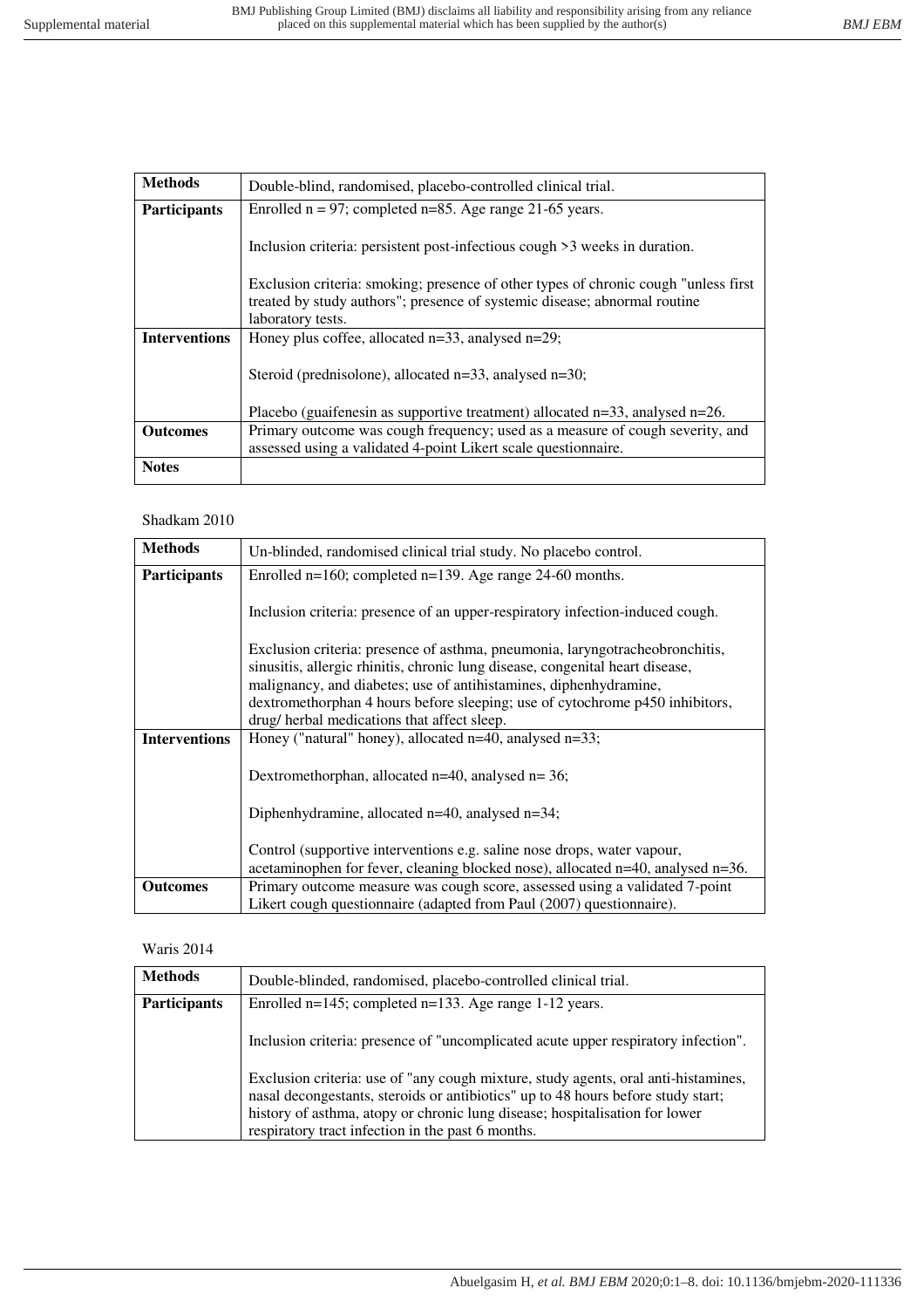| <b>Methods</b>       | Double-blind, randomised, placebo-controlled clinical trial.                                                                                                                          |
|----------------------|---------------------------------------------------------------------------------------------------------------------------------------------------------------------------------------|
| <b>Participants</b>  | Enrolled $n = 97$ ; completed $n = 85$ . Age range 21-65 years.                                                                                                                       |
|                      | Inclusion criteria: persistent post-infectious cough >3 weeks in duration.                                                                                                            |
|                      | Exclusion criteria: smoking; presence of other types of chronic cough "unless first<br>treated by study authors"; presence of systemic disease; abnormal routine<br>laboratory tests. |
| <b>Interventions</b> | Honey plus coffee, allocated $n=33$ , analysed $n=29$ ;                                                                                                                               |
|                      |                                                                                                                                                                                       |
|                      | Steroid (prednisolone), allocated $n=33$ , analysed $n=30$ ;                                                                                                                          |
|                      | Placebo (guaifenesin as supportive treatment) allocated $n=33$ , analysed $n=26$ .                                                                                                    |
| <b>Outcomes</b>      | Primary outcome was cough frequency; used as a measure of cough severity, and<br>assessed using a validated 4-point Likert scale questionnaire.                                       |
| <b>Notes</b>         |                                                                                                                                                                                       |

# Shadkam 2010

| <b>Methods</b>       | Un-blinded, randomised clinical trial study. No placebo control.                                                                                                                                                                                                                                                                                                  |
|----------------------|-------------------------------------------------------------------------------------------------------------------------------------------------------------------------------------------------------------------------------------------------------------------------------------------------------------------------------------------------------------------|
| <b>Participants</b>  | Enrolled $n=160$ ; completed $n=139$ . Age range 24-60 months.                                                                                                                                                                                                                                                                                                    |
|                      | Inclusion criteria: presence of an upper-respiratory infection-induced cough.                                                                                                                                                                                                                                                                                     |
|                      | Exclusion criteria: presence of asthma, pneumonia, laryngotracheobronchitis,<br>sinusitis, allergic rhinitis, chronic lung disease, congenital heart disease,<br>malignancy, and diabetes; use of antihistamines, diphenhydramine,<br>dextromethorphan 4 hours before sleeping; use of cytochrome p450 inhibitors,<br>drug/ herbal medications that affect sleep. |
| <b>Interventions</b> | Honey ("natural" honey), allocated n=40, analysed n=33;                                                                                                                                                                                                                                                                                                           |
|                      | Dextromethorphan, allocated $n=40$ , analysed $n=36$ ;                                                                                                                                                                                                                                                                                                            |
|                      | Diphenhydramine, allocated $n=40$ , analysed $n=34$ ;                                                                                                                                                                                                                                                                                                             |
|                      | Control (supportive interventions e.g. saline nose drops, water vapour,<br>acetaminophen for fever, cleaning blocked nose), allocated n=40, analysed n=36.                                                                                                                                                                                                        |
| <b>Outcomes</b>      | Primary outcome measure was cough score, assessed using a validated 7-point<br>Likert cough questionnaire (adapted from Paul (2007) questionnaire).                                                                                                                                                                                                               |

# Waris 2014

| <b>Methods</b>      | Double-blinded, randomised, placebo-controlled clinical trial.                                                                                                                                                                                                                                             |
|---------------------|------------------------------------------------------------------------------------------------------------------------------------------------------------------------------------------------------------------------------------------------------------------------------------------------------------|
| <b>Participants</b> | Enrolled n=145; completed n=133. Age range 1-12 years.                                                                                                                                                                                                                                                     |
|                     | Inclusion criteria: presence of "uncomplicated acute upper respiratory infection".                                                                                                                                                                                                                         |
|                     | Exclusion criteria: use of "any cough mixture, study agents, oral anti-histamines,<br>nasal decongestants, steroids or antibiotics" up to 48 hours before study start;<br>history of asthma, atopy or chronic lung disease; hospitalisation for lower<br>respiratory tract infection in the past 6 months. |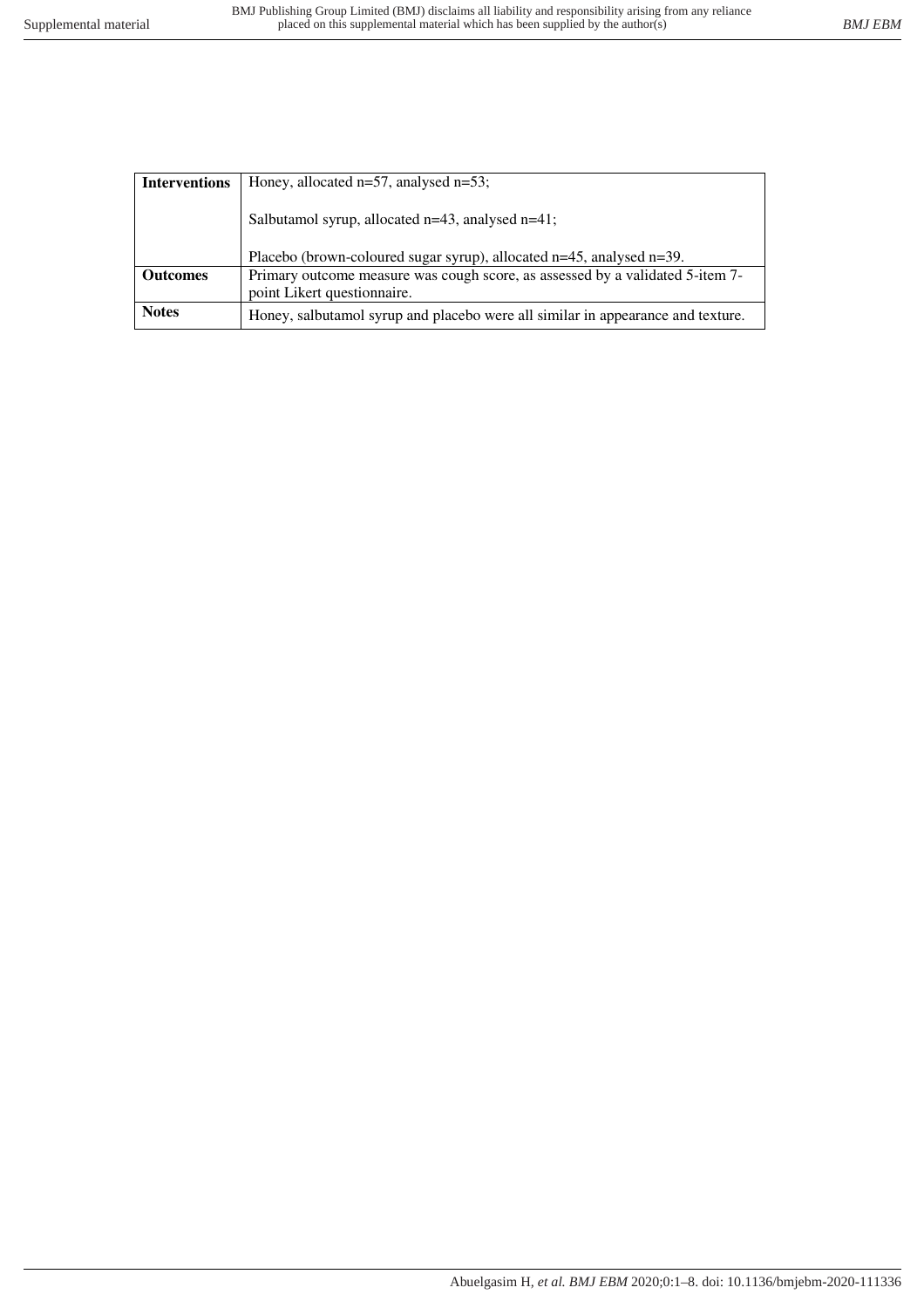| <b>Interventions</b> | Honey, allocated $n=57$ , analysed $n=53$ ;                                                                  |  |  |  |  |
|----------------------|--------------------------------------------------------------------------------------------------------------|--|--|--|--|
|                      | Salbutamol syrup, allocated n=43, analysed n=41;                                                             |  |  |  |  |
|                      | Placebo (brown-coloured sugar syrup), allocated n=45, analysed n=39.                                         |  |  |  |  |
| <b>Outcomes</b>      | Primary outcome measure was cough score, as assessed by a validated 5-item 7-<br>point Likert questionnaire. |  |  |  |  |
| <b>Notes</b>         | Honey, salbutamol syrup and placebo were all similar in appearance and texture.                              |  |  |  |  |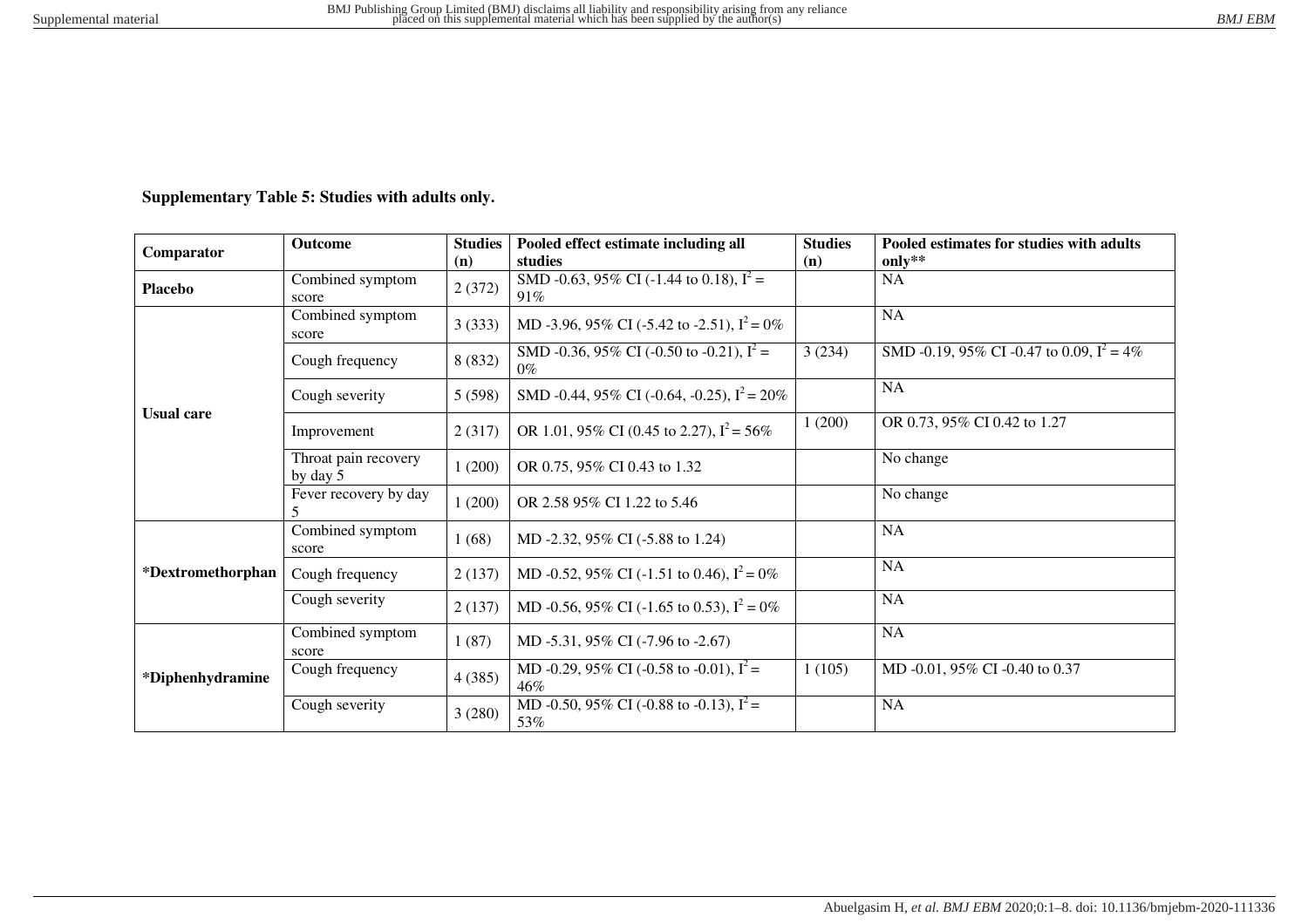# **Supplementary Table 5: Studies with adults only.**

| Comparator        | <b>Outcome</b>                   | <b>Studies</b><br>(n) | Pooled effect estimate including all<br>studies      | <b>Studies</b><br>(n) | Pooled estimates for studies with adults<br>only** |
|-------------------|----------------------------------|-----------------------|------------------------------------------------------|-----------------------|----------------------------------------------------|
| <b>Placebo</b>    | Combined symptom<br>score        | 2(372)                | SMD -0.63, 95% CI (-1.44 to 0.18), $I^2$ =<br>91%    |                       | NA                                                 |
| <b>Usual care</b> | Combined symptom<br>score        | 3(333)                | MD -3.96, 95% CI (-5.42 to -2.51), $I^2 = 0\%$       |                       | NA                                                 |
|                   | Cough frequency                  | 8 (832)               | SMD -0.36, 95% CI (-0.50 to -0.21), $I^2$ =<br>$0\%$ | 3(234)                | SMD -0.19, 95% CI -0.47 to 0.09, $I^2 = 4\%$       |
|                   | Cough severity                   | 5(598)                | SMD -0.44, 95% CI (-0.64, -0.25), $I^2 = 20\%$       |                       | <b>NA</b>                                          |
|                   | Improvement                      | 2(317)                | OR 1.01, 95% CI (0.45 to 2.27), $I^2 = 56\%$         | 1(200)                | OR 0.73, 95% CI 0.42 to 1.27                       |
|                   | Throat pain recovery<br>by day 5 | 1(200)                | OR 0.75, 95% CI 0.43 to 1.32                         |                       | No change                                          |
|                   | Fever recovery by day<br>5       | 1(200)                | OR 2.58 95% CI 1.22 to 5.46                          |                       | No change                                          |
| *Dextromethorphan | Combined symptom<br>score        | 1(68)                 | MD -2.32, 95% CI (-5.88 to 1.24)                     |                       | <b>NA</b>                                          |
|                   | Cough frequency                  | 2(137)                | MD -0.52, 95% CI (-1.51 to 0.46), $I^2 = 0\%$        |                       | NA                                                 |
|                   | Cough severity                   | 2(137)                | MD -0.56, 95% CI (-1.65 to 0.53), $I^2 = 0\%$        |                       | <b>NA</b>                                          |
| *Diphenhydramine  | Combined symptom<br>score        | 1(87)                 | MD -5.31, 95% CI (-7.96 to -2.67)                    |                       | <b>NA</b>                                          |
|                   | Cough frequency                  | 4(385)                | MD -0.29, 95% CI (-0.58 to -0.01), $I^2$ =<br>46%    | 1(105)                | MD -0.01, 95% CI -0.40 to 0.37                     |
|                   | Cough severity                   | 3(280)                | MD -0.50, 95% CI (-0.88 to -0.13), $I^2$ =<br>53%    |                       | <b>NA</b>                                          |